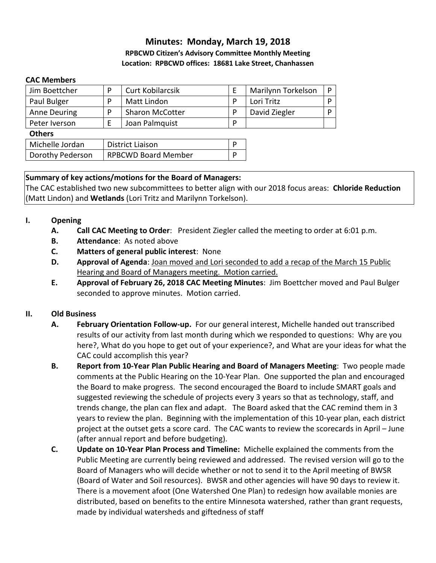### **Minutes: Monday, March 19, 2018 RPBCWD Citizen's Advisory Committee Monthly Meeting Location: RPBCWD offices: 18681 Lake Street, Chanhassen**

### **CAC Members**

| Jim Boettcher    | P                          | <b>Curt Kobilarcsik</b> | E | Marilynn Torkelson | P |
|------------------|----------------------------|-------------------------|---|--------------------|---|
| Paul Bulger      | P                          | <b>Matt Lindon</b>      | P | Lori Tritz         | P |
| Anne Deuring     | P                          | <b>Sharon McCotter</b>  | P | David Ziegler      | P |
| Peter Iverson    | Ε                          | Joan Palmquist          | P |                    |   |
| <b>Others</b>    |                            |                         |   |                    |   |
| Michelle Jordan  | <b>District Liaison</b>    |                         |   |                    |   |
| Dorothy Pederson | <b>RPBCWD Board Member</b> |                         | D |                    |   |

### **Summary of key actions/motions for the Board of Managers:**

The CAC established two new subcommittees to better align with our 2018 focus areas: **Chloride Reduction** (Matt Lindon) and **Wetlands** (Lori Tritz and Marilynn Torkelson).

### **I. Opening**

- **A. Call CAC Meeting to Order**: President Ziegler called the meeting to order at 6:01 p.m.
- **B. Attendance**: As noted above
- **C. Matters of general public interest**: None
- **D. Approval of Agenda**: Joan moved and Lori seconded to add a recap of the March 15 Public Hearing and Board of Managers meeting. Motion carried.
- **E. Approval of February 26, 2018 CAC Meeting Minutes**: Jim Boettcher moved and Paul Bulger seconded to approve minutes. Motion carried.

### **II. Old Business**

- **A. February Orientation Follow-up.** For our general interest, Michelle handed out transcribed results of our activity from last month during which we responded to questions: Why are you here?, What do you hope to get out of your experience?, and What are your ideas for what the CAC could accomplish this year?
- **B. Report from 10-Year Plan Public Hearing and Board of Managers Meeting**: Two people made comments at the Public Hearing on the 10-Year Plan. One supported the plan and encouraged the Board to make progress. The second encouraged the Board to include SMART goals and suggested reviewing the schedule of projects every 3 years so that as technology, staff, and trends change, the plan can flex and adapt. The Board asked that the CAC remind them in 3 years to review the plan. Beginning with the implementation of this 10-year plan, each district project at the outset gets a score card. The CAC wants to review the scorecards in April – June (after annual report and before budgeting).
- **C. Update on 10-Year Plan Process and Timeline:** Michelle explained the comments from the Public Meeting are currently being reviewed and addressed. The revised version will go to the Board of Managers who will decide whether or not to send it to the April meeting of BWSR (Board of Water and Soil resources). BWSR and other agencies will have 90 days to review it. There is a movement afoot (One Watershed One Plan) to redesign how available monies are distributed, based on benefits to the entire Minnesota watershed, rather than grant requests, made by individual watersheds and giftedness of staff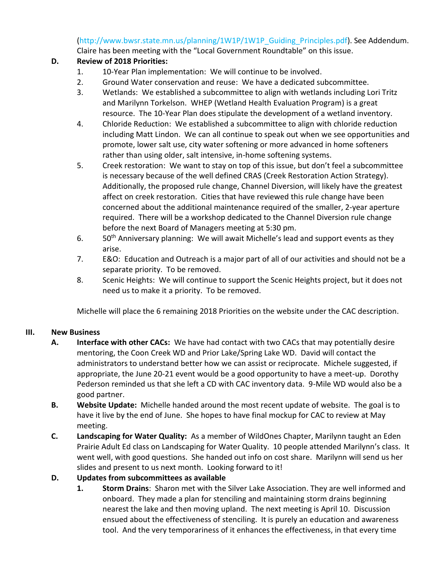(http://www.bwsr.state.mn.us/planning/1W1P/1W1P\_Guiding\_Principles.pdf). See Addendum.

Claire has been meeting with the "Local Government Roundtable" on this issue.

## **D. Review of 2018 Priorities:**

- 1. 10-Year Plan implementation: We will continue to be involved.
- 2. Ground Water conservation and reuse: We have a dedicated subcommittee.
- 3. Wetlands: We established a subcommittee to align with wetlands including Lori Tritz and Marilynn Torkelson. WHEP (Wetland Health Evaluation Program) is a great resource. The 10-Year Plan does stipulate the development of a wetland inventory.
- 4. Chloride Reduction: We established a subcommittee to align with chloride reduction including Matt Lindon. We can all continue to speak out when we see opportunities and promote, lower salt use, city water softening or more advanced in home softeners rather than using older, salt intensive, in-home softening systems.
- 5. Creek restoration: We want to stay on top of this issue, but don't feel a subcommittee is necessary because of the well defined CRAS (Creek Restoration Action Strategy). Additionally, the proposed rule change, Channel Diversion, will likely have the greatest affect on creek restoration. Cities that have reviewed this rule change have been concerned about the additional maintenance required of the smaller, 2-year aperture required. There will be a workshop dedicated to the Channel Diversion rule change before the next Board of Managers meeting at 5:30 pm.
- 6. 50<sup>th</sup> Anniversary planning: We will await Michelle's lead and support events as they arise.
- 7. E&O: Education and Outreach is a major part of all of our activities and should not be a separate priority. To be removed.
- 8. Scenic Heights: We will continue to support the Scenic Heights project, but it does not need us to make it a priority. To be removed.

Michelle will place the 6 remaining 2018 Priorities on the website under the CAC description.

### **III. New Business**

- **A. Interface with other CACs:** We have had contact with two CACs that may potentially desire mentoring, the Coon Creek WD and Prior Lake/Spring Lake WD. David will contact the administrators to understand better how we can assist or reciprocate. Michele suggested, if appropriate, the June 20-21 event would be a good opportunity to have a meet-up. Dorothy Pederson reminded us that she left a CD with CAC inventory data. 9-Mile WD would also be a good partner.
- **B. Website Update:** Michelle handed around the most recent update of website. The goal is to have it live by the end of June. She hopes to have final mockup for CAC to review at May meeting.
- **C. Landscaping for Water Quality:** As a member of WildOnes Chapter, Marilynn taught an Eden Prairie Adult Ed class on Landscaping for Water Quality. 10 people attended Marilynn's class. It went well, with good questions. She handed out info on cost share. Marilynn will send us her slides and present to us next month. Looking forward to it!

# **D. Updates from subcommittees as available**

**1. Storm Drains**: Sharon met with the Silver Lake Association. They are well informed and onboard. They made a plan for stenciling and maintaining storm drains beginning nearest the lake and then moving upland. The next meeting is April 10. Discussion ensued about the effectiveness of stenciling. It is purely an education and awareness tool. And the very temporariness of it enhances the effectiveness, in that every time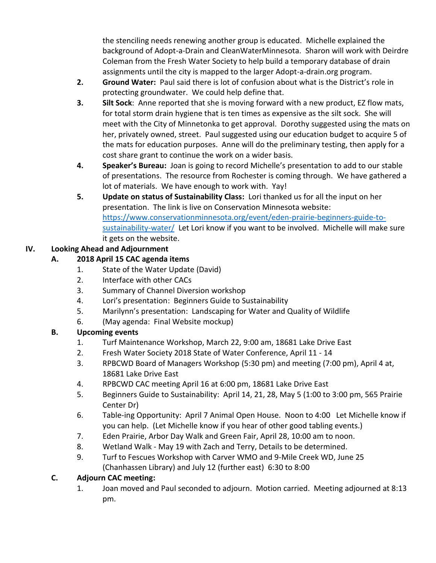the stenciling needs renewing another group is educated. Michelle explained the background of Adopt-a-Drain and CleanWaterMinnesota. Sharon will work with Deirdre Coleman from the Fresh Water Society to help build a temporary database of drain assignments until the city is mapped to the larger Adopt-a-drain.org program.

- **2. Ground Water:** Paul said there is lot of confusion about what is the District's role in protecting groundwater. We could help define that.
- **3. Silt Sock**: Anne reported that she is moving forward with a new product, EZ flow mats, for total storm drain hygiene that is ten times as expensive as the silt sock. She will meet with the City of Minnetonka to get approval. Dorothy suggested using the mats on her, privately owned, street. Paul suggested using our education budget to acquire 5 of the mats for education purposes. Anne will do the preliminary testing, then apply for a cost share grant to continue the work on a wider basis.
- **4. Speaker's Bureau:** Joan is going to record Michelle's presentation to add to our stable of presentations. The resource from Rochester is coming through. We have gathered a lot of materials. We have enough to work with. Yay!
- **5. Update on status of Sustainability Class:** Lori thanked us for all the input on her presentation. The link is live on Conservation Minnesota website: [https://www.conservationminnesota.org/event/eden-prairie-beginners-guide-to](https://www.conservationminnesota.org/event/eden-prairie-beginners-guide-to-sustainability-water/)[sustainability-water/](https://www.conservationminnesota.org/event/eden-prairie-beginners-guide-to-sustainability-water/) Let Lori know if you want to be involved. Michelle will make sure it gets on the website.

# **IV. Looking Ahead and Adjournment**

# **A. 2018 April 15 CAC agenda items**

- 1. State of the Water Update (David)
- 2. Interface with other CACs
- 3. Summary of Channel Diversion workshop
- 4. Lori's presentation: Beginners Guide to Sustainability
- 5. Marilynn's presentation: [Landscaping](https://www.conservationminnesota.org/event/landscaping-for-water-and-quality-of-wildlife/) for Water and Quality of Wildlife
- 6. (May agenda: Final Website mockup)

# **B. Upcoming events**

- 1. Turf Maintenance Workshop, March 22, 9:00 am, 18681 Lake Drive East
- 2. Fresh Water Society 2018 State of Water Conference, April 11 14
- 3. RPBCWD Board of Managers Workshop (5:30 pm) and meeting (7:00 pm), April 4 at, 18681 Lake Drive East
- 4. RPBCWD CAC meeting April 16 at 6:00 pm, 18681 Lake Drive East
- 5. Beginners Guide to Sustainability: April 14, 21, 28, May 5 (1:00 to 3:00 pm, 565 Prairie Center Dr)
- 6. Table-ing Opportunity: April 7 Animal Open House. Noon to 4:00 Let Michelle know if you can help. (Let Michelle know if you hear of other good tabling events.)
- 7. Eden Prairie, Arbor Day Walk and Green Fair, April 28, 10:00 am to noon.
- 8. Wetland Walk May 19 with Zach and Terry, Details to be determined.
- 9. Turf to Fescues Workshop with Carver WMO and 9-Mile Creek WD, June 25 (Chanhassen Library) and July 12 (further east) 6:30 to 8:00

### **C. Adjourn CAC meeting:**

1. Joan moved and Paul seconded to adjourn. Motion carried. Meeting adjourned at 8:13 pm.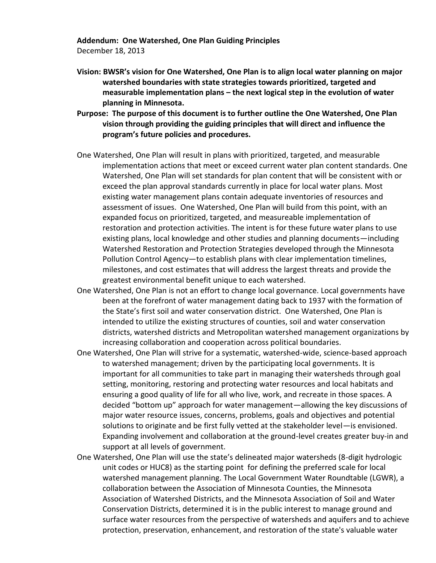**Addendum: One Watershed, One Plan Guiding Principles**

December 18, 2013

- **Vision: BWSR's vision for One Watershed, One Plan is to align local water planning on major watershed boundaries with state strategies towards prioritized, targeted and measurable implementation plans – the next logical step in the evolution of water planning in Minnesota.**
- **Purpose: The purpose of this document is to further outline the One Watershed, One Plan vision through providing the guiding principles that will direct and influence the program's future policies and procedures.**
- One Watershed, One Plan will result in plans with prioritized, targeted, and measurable implementation actions that meet or exceed current water plan content standards. One Watershed, One Plan will set standards for plan content that will be consistent with or exceed the plan approval standards currently in place for local water plans. Most existing water management plans contain adequate inventories of resources and assessment of issues. One Watershed, One Plan will build from this point, with an expanded focus on prioritized, targeted, and measureable implementation of restoration and protection activities. The intent is for these future water plans to use existing plans, local knowledge and other studies and planning documents—including Watershed Restoration and Protection Strategies developed through the Minnesota Pollution Control Agency—to establish plans with clear implementation timelines, milestones, and cost estimates that will address the largest threats and provide the greatest environmental benefit unique to each watershed.
- One Watershed, One Plan is not an effort to change local governance. Local governments have been at the forefront of water management dating back to 1937 with the formation of the State's first soil and water conservation district. One Watershed, One Plan is intended to utilize the existing structures of counties, soil and water conservation districts, watershed districts and Metropolitan watershed management organizations by increasing collaboration and cooperation across political boundaries.
- One Watershed, One Plan will strive for a systematic, watershed-wide, science-based approach to watershed management; driven by the participating local governments. It is important for all communities to take part in managing their watersheds through goal setting, monitoring, restoring and protecting water resources and local habitats and ensuring a good quality of life for all who live, work, and recreate in those spaces. A decided "bottom up" approach for water management—allowing the key discussions of major water resource issues, concerns, problems, goals and objectives and potential solutions to originate and be first fully vetted at the stakeholder level—is envisioned. Expanding involvement and collaboration at the ground-level creates greater buy‐in and support at all levels of government.
- One Watershed, One Plan will use the state's delineated major watersheds (8-digit hydrologic unit codes or HUC8) as the starting point for defining the preferred scale for local watershed management planning. The Local Government Water Roundtable (LGWR), a collaboration between the Association of Minnesota Counties, the Minnesota Association of Watershed Districts, and the Minnesota Association of Soil and Water Conservation Districts, determined it is in the public interest to manage ground and surface water resources from the perspective of watersheds and aquifers and to achieve protection, preservation, enhancement, and restoration of the state's valuable water